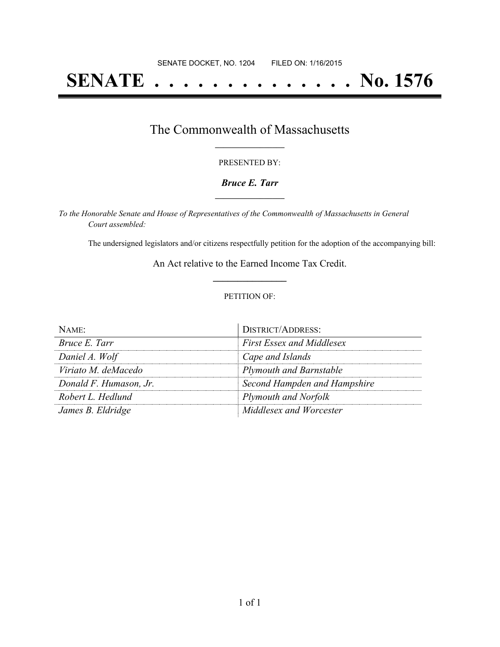# **SENATE . . . . . . . . . . . . . . No. 1576**

### The Commonwealth of Massachusetts **\_\_\_\_\_\_\_\_\_\_\_\_\_\_\_\_\_**

#### PRESENTED BY:

#### *Bruce E. Tarr* **\_\_\_\_\_\_\_\_\_\_\_\_\_\_\_\_\_**

*To the Honorable Senate and House of Representatives of the Commonwealth of Massachusetts in General Court assembled:*

The undersigned legislators and/or citizens respectfully petition for the adoption of the accompanying bill:

An Act relative to the Earned Income Tax Credit. **\_\_\_\_\_\_\_\_\_\_\_\_\_\_\_**

#### PETITION OF:

| $N$ AME:               | <b>DISTRICT/ADDRESS:</b>         |
|------------------------|----------------------------------|
| Bruce E. Tarr          | <b>First Essex and Middlesex</b> |
| Daniel A. Wolf         | Cape and Islands                 |
| Viriato M. deMacedo    | <b>Plymouth and Barnstable</b>   |
| Donald F. Humason, Jr. | Second Hampden and Hampshire     |
| Robert L. Hedlund      | <b>Plymouth and Norfolk</b>      |
| James B. Eldridge      | Middlesex and Worcester          |